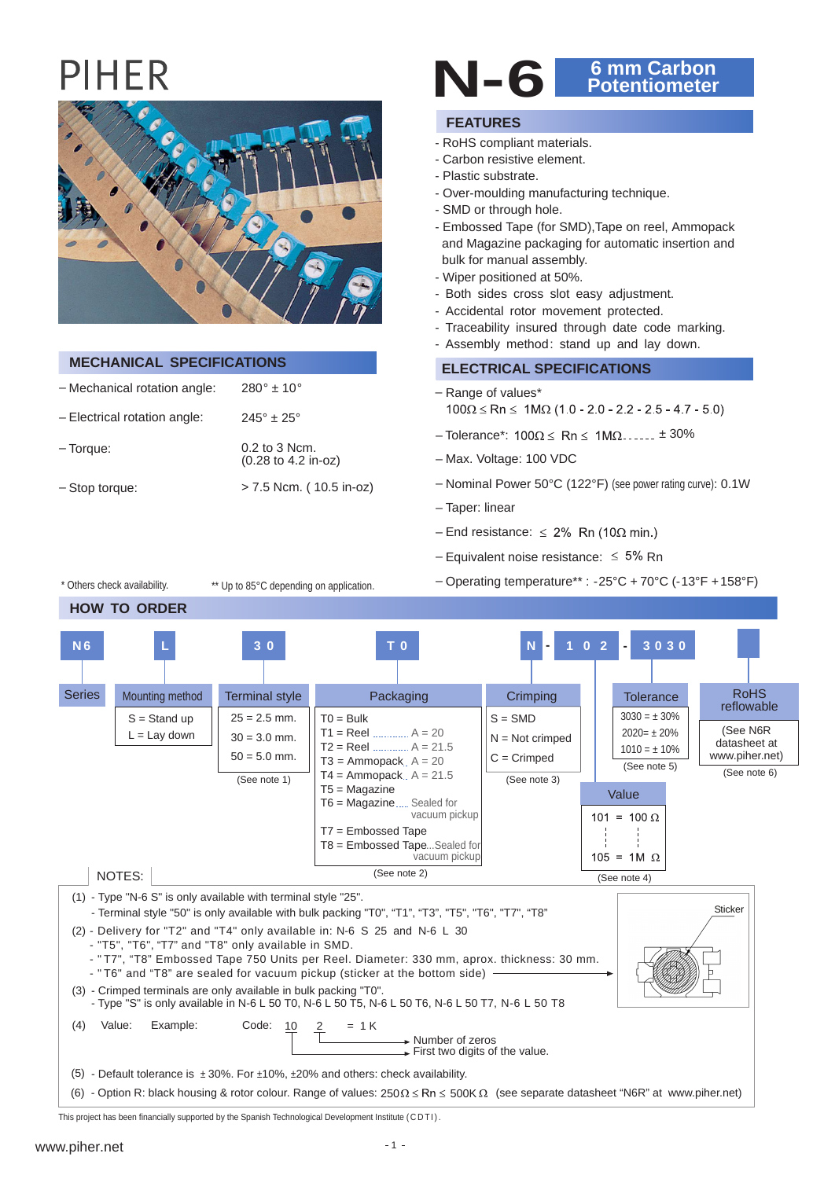**HOW TO ORDER**

\* Others check availability.

**N 6**

**L**



| <b>MECHANICAL SPECIFICATIONS</b> |                                        |  |  |  |  |  |
|----------------------------------|----------------------------------------|--|--|--|--|--|
| - Mechanical rotation angle:     | $280^{\circ}$ ± 10 $^{\circ}$          |  |  |  |  |  |
| $-$ Electrical rotation angle:   | $245^{\circ} \pm 25^{\circ}$           |  |  |  |  |  |
| $-$ Torque:                      | $0.2$ to 3 Ncm.<br>(0.28 to 4.2 in-oz) |  |  |  |  |  |
| - Stop torque:                   | > 7.5 Ncm. (10.5 in-oz)                |  |  |  |  |  |

\*\* Up to 85°C depending on application.

# **N-6 6 mm Carbon Potentiometer**

#### **FEATURES**

- RoHS compliant materials.
- Carbon resistive element.
- Plastic substrate.
- Over-moulding manufacturing technique.
- SMD or through hole.
- Embossed Tape (for SMD),Tape on reel, Ammopack and Magazine packaging for automatic insertion and bulk for manual assembly.
- Wiper positioned at 50%.
- Both sides cross slot easy adjustment.
- Accidental rotor movement protected.
- Traceability insured through date code marking.
- Assembly method: stand up and lay down.

#### **ELECTRICAL SPECIFICATIONS**

- Range of values\*  $100\Omega \le Rn \le 1M\Omega$  (1.0 - 2.0 - 2.2 - 2.5 - 4.7 - 5.0)
- $-$  Tolerance\*:  $100\Omega \le Rn \le 1M\Omega$ ......  $\pm 30\%$
- Max. Voltage: 100 VDC
- Nominal Power 50°C (122°F) (see power rating curve): 0.1W

– Operating temperature\*\* : -25°C + 70°C (-13°F + 158°F)

- Taper: linear
- End resistance:  $\leq 2\%$  Rn (10 $\Omega$  min.)
- Equivalent noise resistance:  $\leq 5\%$  Rn
- $S = SMD$ N = Not crimped **Crimping N 1 0 2** (See N6R Packaging **T 0**  $TO = Bulk$  $T1 = \text{Real}$ T2 = Reel ............. A = 21.5  $...$  A = 20  $25 = 2.5$  mm.  $30 = 3.0$  mm. Terminal style **3 0 Tolerance**  $3030 = \pm 30\%$ **3030 - -**  $2020 = \pm 20\%$ RoHS

**Series** Mounting method [reflowable](www.piher.net)  $S =$ Stand up  $L =$  Lav down datasheet at  $1010 = \pm 10\%$ [www.piher.net\)](www.piher.net)  $50 = 5.0$  mm.  $C =$  Crimped  $T3 =$  Ammopack,  $A = 20$ (See note 5) (See note 6)  $T4 =$  Ammopack..  $A = 21.5$ (See note 1) (See note 3) T5 = Magazine Value T6 = Magazine..... Sealed for vacuum pickup  $101 = 100 \Omega$ T7 = Embossed Tape T8 = Embossed Tape ...Sealed for vacuum pickup  $105 = 1M \Omega$ (See note 2) NOTES: (See note 4) (1) - Type "N-6 S" is only available with terminal style "25". **Sticker** - Terminal style "50" is only available with bulk packing "T0", "T1", "T3", "T5", "T6", "T7", "T8" (2) - Delivery for "T2" and "T4" only available in: N-6 S 25 and N-6 L 30 - "T5", "T6", "T7" and "T8" only available in SMD. - " T7", "T8" Embossed Tape 750 Units per Reel. Diameter: 330 mm, aprox. thickness: 30 mm. - "T6" and "T8" are sealed for vacuum pickup (sticker at the bottom side) -(3) - Crimped terminals are only available in bulk packing "T0". - Type "S" is only available in N-6 L 50 T0, N-6 L 50 T5, N-6 L 50 T6, N-6 L 50 T7, N-6 L 50 T8  $(4)$  Value: Example: Code: 10 2 = 1 K Example: Code: 10 Number of zeros  $\overline{\phantom{a}}$  First two digits of the value. (5) - Default tolerance is ± 30%. For ±10%, ±20% and others: check availability. (6) - Option R: black housing & rotor colour. Range of values:  $250\Omega \le Rn \le 500K\Omega$  (see separate datasheet "N6R" at www.piher.net)

This project has been financially supported by the Spanish Technological Development Institute (CDTI).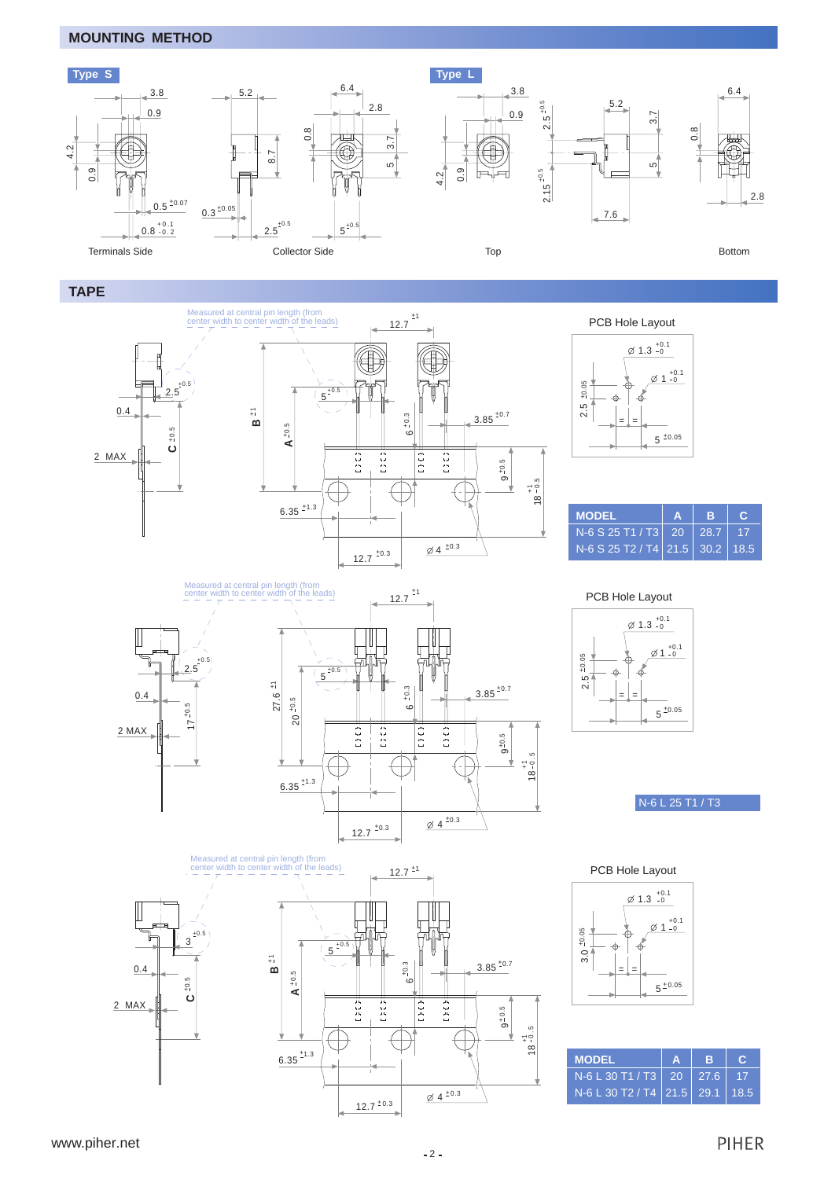#### **MOUNTING METHOD**



#### **TAPE**



PCB Hole Layout



| <b>MODEL</b>                    | AIB |  |
|---------------------------------|-----|--|
| $N-6$ S 25 T1 / T3 20 28.7 17   |     |  |
| N-6 S 25 T2 / T4 21.5 30.2 18.5 |     |  |











| <b>MODEL</b>                        | A   B |  |
|-------------------------------------|-------|--|
| $N-6$ L 30 T1 / T3   20   27.6   17 |       |  |
| N-6 L 30 T2 / T4 21.5 29.1 18.5     |       |  |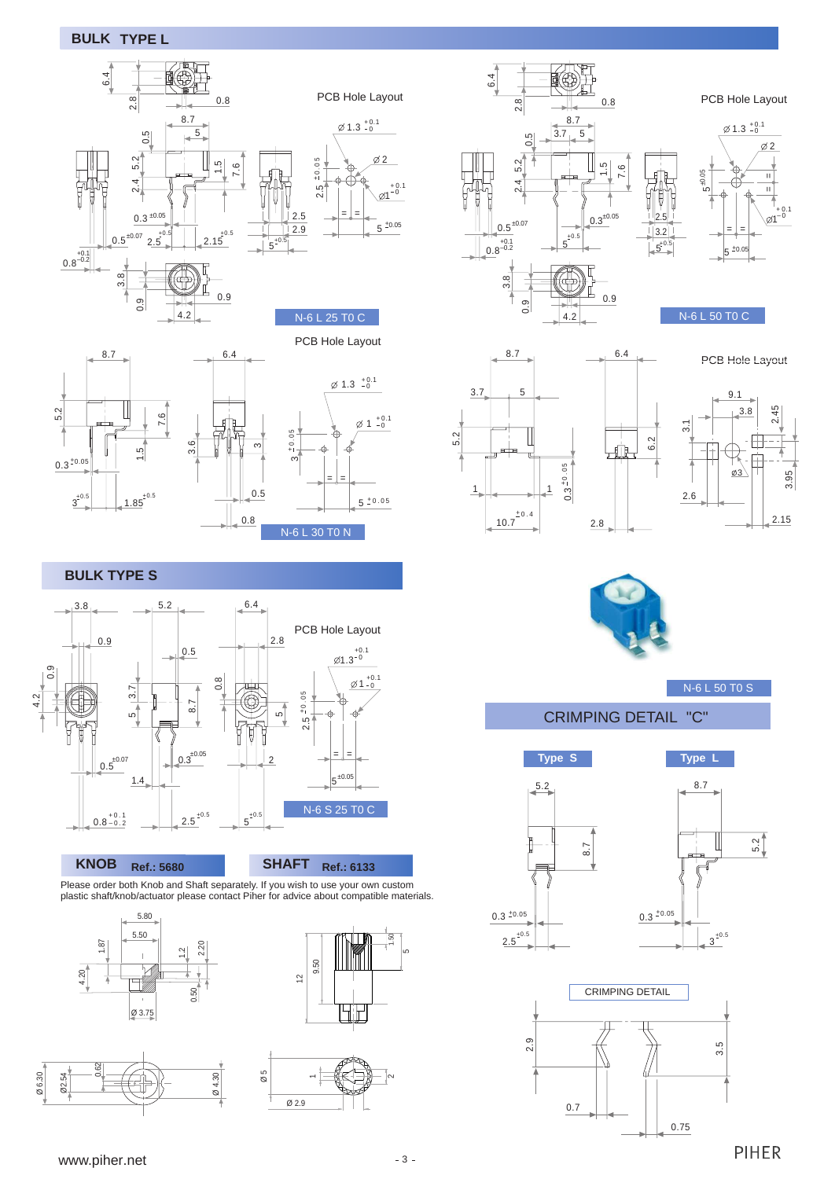### **BULK TYPE L**



PCB Hole Layout



4.2

#### ო  $+0.$  $\frac{1}{\cdot}$ = =  $5^{+0.05}$  $1^{+0.1}_{-0}$  $1.3^{+0.1}_{-0}$ 0.5 0.8  $\tilde{3}$ N-6 L 30 T0 N

**BULK TYPE S**



#### **KNOB Ref.: 5680**



Please order both Knob and Shaft separately. If you wish to use your own custom plastic shaft/knob/actuator please contact Piher for advice about compatible materials.











 $Ø1$  $+0.1$  $\frac{2.5}{2.5}$ PCB Hole Layout  $\mathbf{H}$  $\frac{1}{\sqrt{2}}$  $\frac{1}{9}$  $\frac{1}{9}$ = =  $5^{+0.05}$  $\varnothing$  2  $1.3^{+0.1}_{-0}$ 

N-6 L 50 T0 C



PCB Hole Layout





6.2

N-6 L 50 T0 S

CRIMPING DETAIL "C"







<www.piher.net>

**PIHER**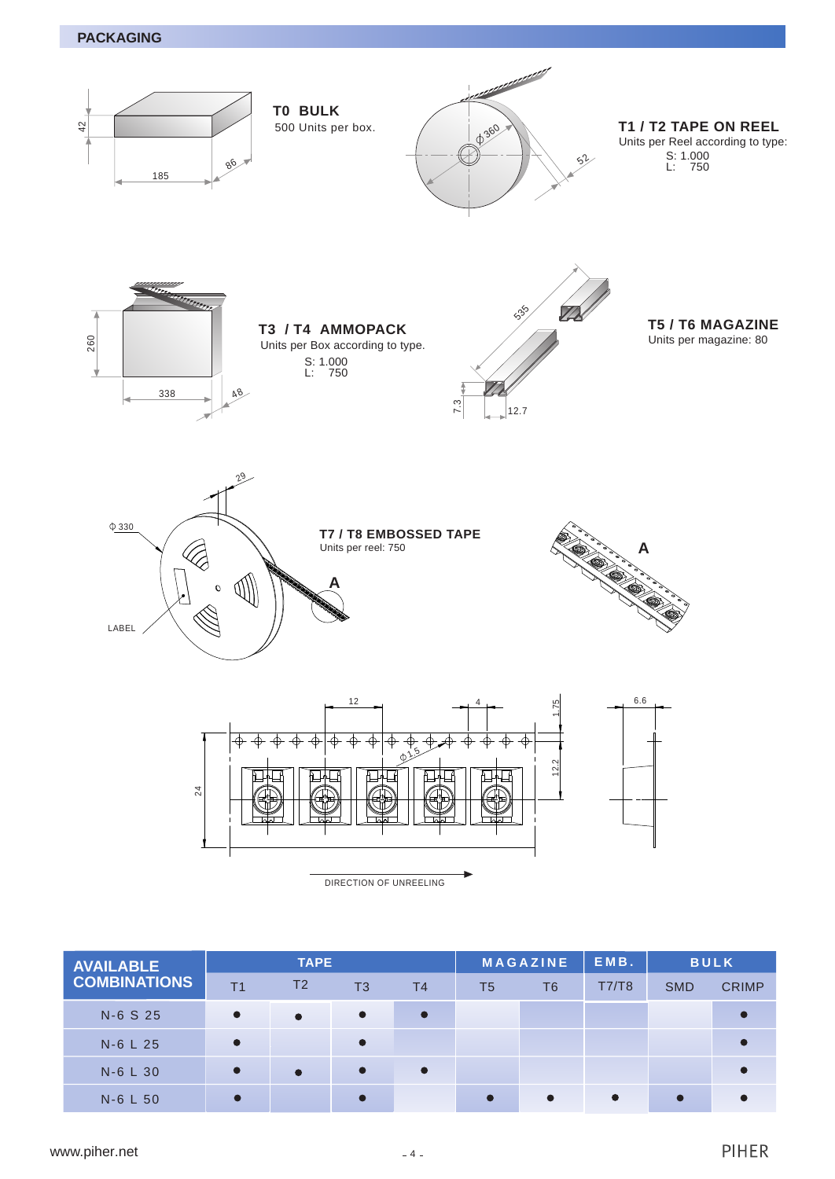

| <b>AVAILABLE</b>    | <b>TAPE</b>    |                |                | <b>MAGAZINE</b> |                | EMB.           | <b>BULK</b> |            |              |
|---------------------|----------------|----------------|----------------|-----------------|----------------|----------------|-------------|------------|--------------|
| <b>COMBINATIONS</b> | T <sub>1</sub> | T <sub>2</sub> | T <sub>3</sub> | T <sub>4</sub>  | T <sub>5</sub> | T <sub>6</sub> | T7/T8       | <b>SMD</b> | <b>CRIMP</b> |
| N-6 S 25            | $\bullet$      | $\bullet$      | $\bullet$      | $\bullet$       |                |                |             |            |              |
| N-6 L 25            |                |                |                |                 |                |                |             |            |              |
| N-6 L 30            |                | $\bullet$      | $\bullet$      | $\bullet$       |                |                |             |            |              |
| N-6 L 50            |                |                |                |                 | $\bullet$      | $\bullet$      | $\bullet$   | $\bullet$  |              |
|                     |                |                |                |                 |                |                |             |            |              |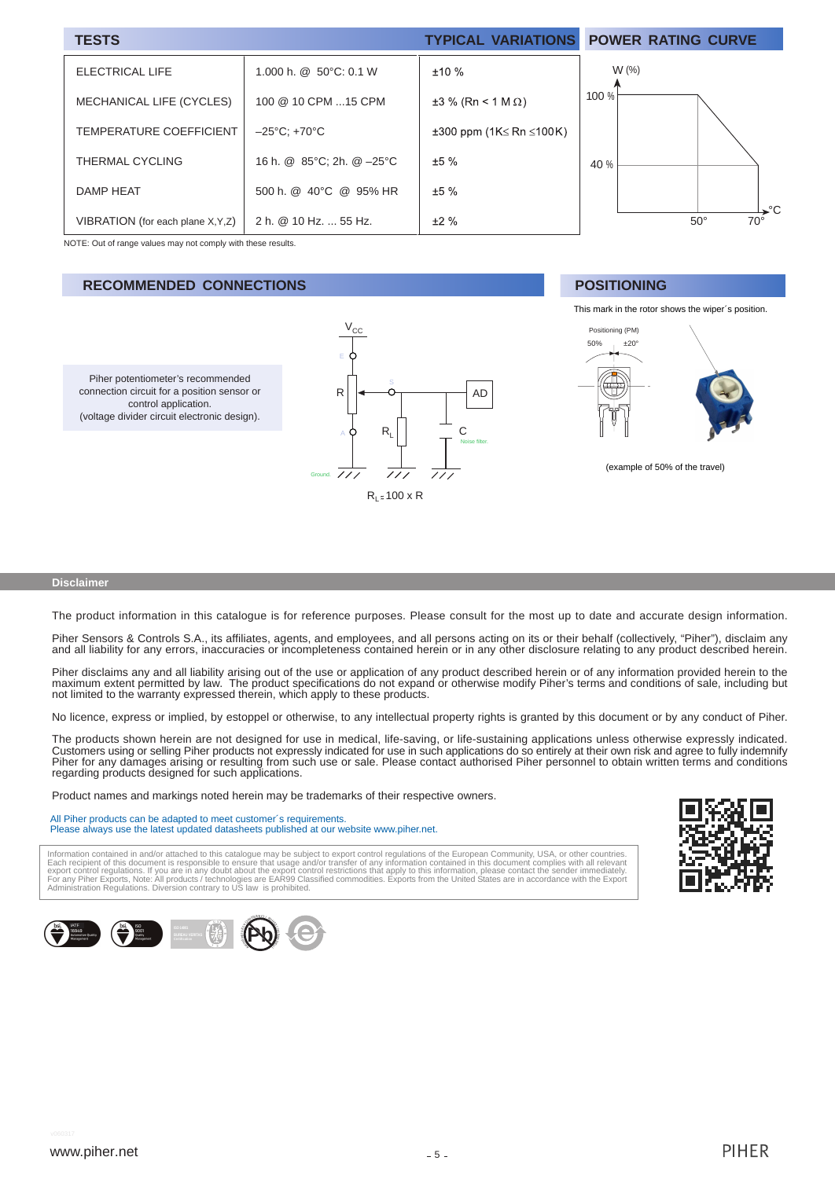| <b>TESTS</b>                       |                                   | <b>TYPICAL VARIATIONS</b> | <b>POWER RATING CURVE</b>           |
|------------------------------------|-----------------------------------|---------------------------|-------------------------------------|
| <b>ELECTRICAL LIFE</b>             | 1.000 h. @ $50^{\circ}$ C: 0.1 W  | ±10%                      | $W$ (%)                             |
| MECHANICAL LIFE (CYCLES)           | 100 @ 10 CPM 15 CPM               | $±3$ % (Rn < 1 M Ω)       | 100 %                               |
| TEMPERATURE COEFFICIENT            | $-25^{\circ}$ C: +70 $^{\circ}$ C | ±300 ppm (1K≤ Rn ≤100K)   |                                     |
| THERMAL CYCLING                    | 16 h. @ 85°C; 2h. @-25°C          | ±5%                       | 40 %                                |
| <b>DAMP HEAT</b>                   | 500 h. @ 40°C @ 95% HR            | ±5%                       |                                     |
| VIBRATION (for each plane X, Y, Z) | 2 h. @ 10 Hz.  55 Hz.             | ±2%                       | ิ >°C<br>$50^\circ$<br>$70^{\circ}$ |

NOTE: Out of range values may not comply with these results.

Piher potentiometer's recommended connection circuit for a position sensor or control application. (voltage divider circuit electronic design).

#### **RECOMMENDED CONNECTIONS**



#### **POSITIONING**





(example of 50% of the travel)

#### **Disclaimer**

The product information in this catalogue is for reference purposes. Please consult for the most up to date and accurate design information.

Piher Sensors & Controls S.A., its affiliates, agents, and employees, and all persons acting on its or their behalf (collectively, "Piher"), disclaim any and all liability for any errors, inaccuracies or incompleteness contained herein or in any other disclosure relating to any product described herein.

Piher disclaims any and all liability arising out of the use or application of any product described herein or of any information provided herein to the maximum extent permitted by law. The product specifications do not expand or otherwise modify Piher's terms and conditions of sale, including but not limited to the warranty expressed therein, which apply to these products.

No licence, express or implied, by estoppel or otherwise, to any intellectual property rights is granted by this document or by any conduct of Piher.

The products shown herein are not designed for use in medical, life-saving, or life-sustaining applications unless otherwise expressly indicated. Customers using or selling Piher products not expressly indicated for use in such applications do so entirely at their own risk and agree to fully indemnify Piher for any damages arising or resulting from such use or sale. Please contact authorised Piher personnel to obtain written terms and conditions regarding products designed for such applications.

Product names and markings noted herein may be trademarks of their respective owners.

All Piher products can be adapted to meet customer´s requirements. Please always use the latest updated datasheets published at our website www.piher.net.

Information contained in and/or attached to this catalogue may be subject to export control regulations of the European Community, USA, or other countries.<br>Each recipient of this document is responsible to ensure that usag